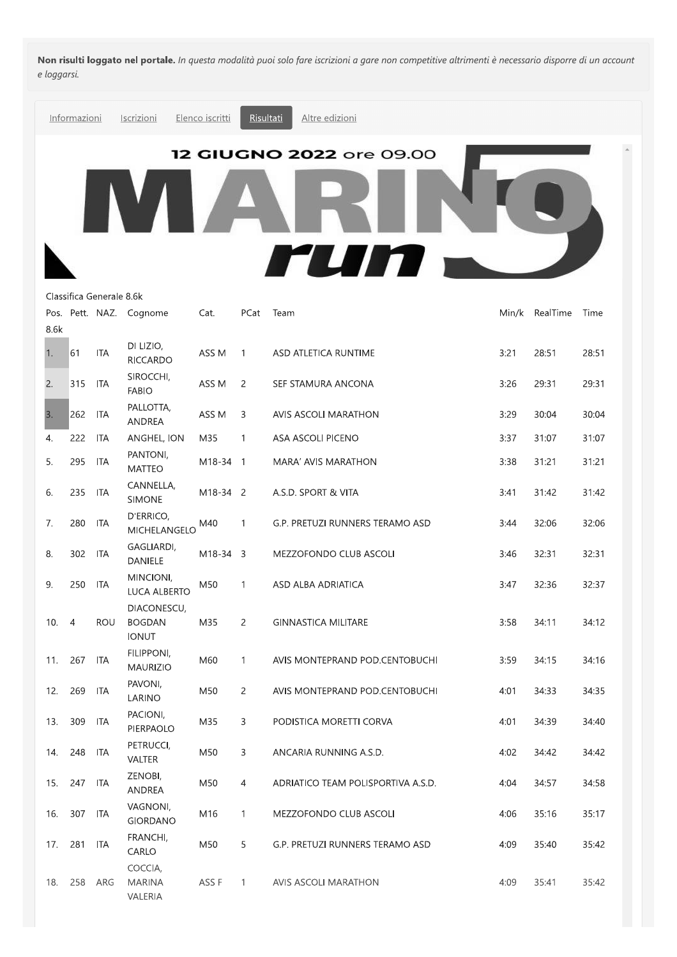Non risulti loggato nel portale. In questa modalità puoi solo fare iscrizioni a gare non competitive altrimenti è necessario disporre di un account e loggarsi.



| 2.  | 315            | ITA        | <b>FABIO</b>                                 | ASS M    | 2              | SEF STAMURA ANCONA                 | 3:26 | 29:31 | 29:31 |
|-----|----------------|------------|----------------------------------------------|----------|----------------|------------------------------------|------|-------|-------|
| 3.  | 262            | <b>ITA</b> | PALLOTTA,<br><b>ANDREA</b>                   | ASS M    | 3              | AVIS ASCOLI MARATHON               | 3:29 | 30:04 | 30:04 |
| 4.  | 222            | <b>ITA</b> | ANGHEL, ION                                  | M35      | $\mathbf{1}$   | ASA ASCOLI PICENO                  | 3:37 | 31:07 | 31:07 |
| 5.  | 295            | <b>ITA</b> | PANTONI,<br><b>MATTEO</b>                    | M18-34 1 |                | MARA' AVIS MARATHON                | 3:38 | 31:21 | 31:21 |
| 6.  | 235            | <b>ITA</b> | CANNELLA,<br><b>SIMONE</b>                   | M18-34 2 |                | A.S.D. SPORT & VITA                | 3:41 | 31:42 | 31:42 |
| 7.  | 280            | <b>ITA</b> | D'ERRICO,<br>MICHELANGELO                    | M40      | 1              | G.P. PRETUZI RUNNERS TERAMO ASD    | 3:44 | 32:06 | 32:06 |
| 8.  | 302            | <b>ITA</b> | GAGLIARDI,<br><b>DANIELE</b>                 | M18-34 3 |                | MEZZOFONDO CLUB ASCOLI             | 3:46 | 32:31 | 32:31 |
| 9.  | 250            | ITA        | MINCIONI,<br><b>LUCA ALBERTO</b>             | M50      | 1              | ASD ALBA ADRIATICA                 | 3:47 | 32:36 | 32:37 |
| 10. | $\overline{4}$ | <b>ROU</b> | DIACONESCU,<br><b>BOGDAN</b><br><b>IONUT</b> | M35      | $\overline{2}$ | <b>GINNASTICA MILITARE</b>         | 3:58 | 34:11 | 34:12 |
| 11. | 267            | <b>ITA</b> | FILIPPONI,<br><b>MAURIZIO</b>                | M60      | $\mathbf{1}$   | AVIS MONTEPRAND POD.CENTOBUCHI     | 3:59 | 34:15 | 34:16 |
| 12. | 269            | <b>ITA</b> | PAVONI,<br>LARINO                            | M50      | $\overline{2}$ | AVIS MONTEPRAND POD.CENTOBUCHI     | 4:01 | 34:33 | 34:35 |
| 13. | 309            | ITA        | PACIONI,<br>PIERPAOLO                        | M35      | 3              | PODISTICA MORETTI CORVA            | 4:01 | 34:39 | 34:40 |
| 14. | 248            | <b>ITA</b> | PETRUCCI,<br>VALTER                          | M50      | 3              | ANCARIA RUNNING A.S.D.             | 4:02 | 34:42 | 34:42 |
| 15. | 247            | <b>ITA</b> | ZENOBI,<br>ANDREA                            | M50      | 4              | ADRIATICO TEAM POLISPORTIVA A.S.D. | 4:04 | 34:57 | 34:58 |
| 16. | 307            | <b>ITA</b> | VAGNONI,<br><b>GIORDANO</b>                  | M16      | 1              | MEZZOFONDO CLUB ASCOLI             | 4:06 | 35:16 | 35:17 |
| 17. | 281            | ITA        | FRANCHI,<br>CARLO                            | M50      | 5              | G.P. PRETUZI RUNNERS TERAMO ASD    | 4:09 | 35:40 | 35:42 |
| 18. | 258            | ARG        | COCCIA,<br><b>MARINA</b><br>VALERIA          | ASS F    | 1              | <b>AVIS ASCOLI MARATHON</b>        | 4:09 | 35:41 | 35:42 |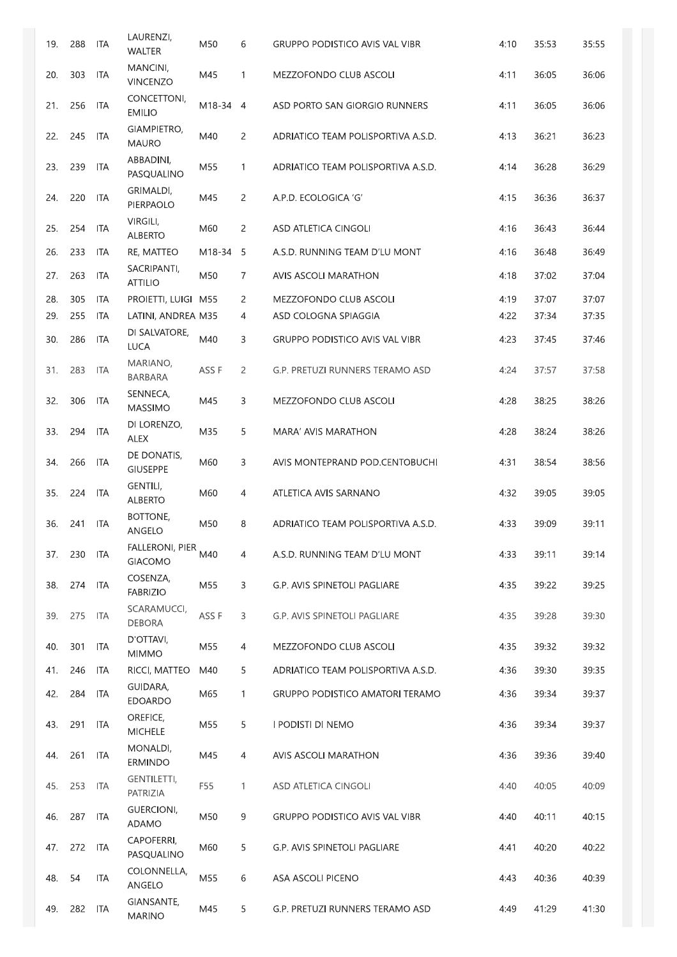| 19. | 288 | ITA        | LAURENZI,<br><b>WALTER</b>        | M50      | 6              | <b>GRUPPO PODISTICO AVIS VAL VIBR</b> | 4:10 | 35:53 | 35:55 |
|-----|-----|------------|-----------------------------------|----------|----------------|---------------------------------------|------|-------|-------|
| 20. | 303 | ITA        | MANCINI,<br><b>VINCENZO</b>       | M45      | $\mathbf{1}$   | MEZZOFONDO CLUB ASCOLI                | 4:11 | 36:05 | 36:06 |
| 21. | 256 | <b>ITA</b> | CONCETTONI,<br><b>EMILIO</b>      | M18-34 4 |                | ASD PORTO SAN GIORGIO RUNNERS         | 4:11 | 36:05 | 36:06 |
| 22. | 245 | <b>ITA</b> | GIAMPIETRO,<br><b>MAURO</b>       | M40      | 2              | ADRIATICO TEAM POLISPORTIVA A.S.D.    | 4:13 | 36:21 | 36:23 |
| 23. | 239 | <b>ITA</b> | ABBADINI,<br>PASQUALINO           | M55      | 1              | ADRIATICO TEAM POLISPORTIVA A.S.D.    | 4:14 | 36:28 | 36:29 |
| 24. | 220 | <b>ITA</b> | GRIMALDI,<br>PIERPAOLO            | M45      | 2              | A.P.D. ECOLOGICA 'G'                  | 4:15 | 36:36 | 36:37 |
| 25. | 254 | ITA        | VIRGILI,<br><b>ALBERTO</b>        | M60      | 2              | ASD ATLETICA CINGOLI                  | 4:16 | 36:43 | 36:44 |
| 26. | 233 | ITA        | RE, MATTEO                        | M18-34 5 |                | A.S.D. RUNNING TEAM D'LU MONT         | 4:16 | 36:48 | 36:49 |
| 27. | 263 | ITA        | SACRIPANTI,<br><b>ATTILIO</b>     | M50      | 7              | AVIS ASCOLI MARATHON                  | 4:18 | 37:02 | 37:04 |
| 28. | 305 | ITA        | PROIETTI, LUIGI M55               |          | 2              | MEZZOFONDO CLUB ASCOLI                | 4:19 | 37:07 | 37:07 |
| 29. | 255 | ITA        | LATINI, ANDREA M35                |          | 4              | ASD COLOGNA SPIAGGIA                  | 4:22 | 37:34 | 37:35 |
| 30. | 286 | <b>ITA</b> | DI SALVATORE,<br><b>LUCA</b>      | M40      | 3              | <b>GRUPPO PODISTICO AVIS VAL VIBR</b> | 4:23 | 37:45 | 37:46 |
| 31. | 283 | <b>ITA</b> | MARIANO,<br><b>BARBARA</b>        | ASS F    | 2              | G.P. PRETUZI RUNNERS TERAMO ASD       | 4:24 | 37:57 | 37:58 |
| 32. | 306 | <b>ITA</b> | SENNECA,<br><b>MASSIMO</b>        | M45      | 3              | MEZZOFONDO CLUB ASCOLI                | 4:28 | 38:25 | 38:26 |
| 33. | 294 | <b>ITA</b> | DI LORENZO,<br>ALEX               | M35      | 5              | MARA' AVIS MARATHON                   | 4:28 | 38:24 | 38:26 |
| 34. | 266 | ITA        | DE DONATIS,<br><b>GIUSEPPE</b>    | M60      | 3              | AVIS MONTEPRAND POD.CENTOBUCHI        | 4:31 | 38:54 | 38:56 |
| 35. | 224 | <b>ITA</b> | GENTILI,<br><b>ALBERTO</b>        | M60      | 4              | ATLETICA AVIS SARNANO                 | 4:32 | 39:05 | 39:05 |
| 36. | 241 | ITA        | <b>BOTTONE,</b><br>ANGELO         | M50      | 8              | ADRIATICO TEAM POLISPORTIVA A.S.D.    | 4:33 | 39:09 | 39:11 |
| 37. | 230 | <b>ITA</b> | FALLERONI, PIER<br><b>GIACOMO</b> | M40      | 4              | A.S.D. RUNNING TEAM D'LU MONT         | 4:33 | 39:11 | 39:14 |
| 38. | 274 | <b>ITA</b> | COSENZA,<br><b>FABRIZIO</b>       | M55      | 3              | G.P. AVIS SPINETOLI PAGLIARE          | 4:35 | 39:22 | 39:25 |
| 39. | 275 | ITA        | SCARAMUCCI,<br><b>DEBORA</b>      | ASS F    | 3              | G.P. AVIS SPINETOLI PAGLIARE          | 4:35 | 39:28 | 39:30 |
| 40. | 301 | ITA        | D'OTTAVI,<br><b>MIMMO</b>         | M55      | 4              | MEZZOFONDO CLUB ASCOLI                | 4:35 | 39:32 | 39:32 |
| 41. | 246 | ITA        | RICCI, MATTEO                     | M40      | 5              | ADRIATICO TEAM POLISPORTIVA A.S.D.    | 4:36 | 39:30 | 39:35 |
| 42. | 284 | ITA        | GUIDARA,<br><b>EDOARDO</b>        | M65      | $\mathbf{1}$   | GRUPPO PODISTICO AMATORI TERAMO       | 4:36 | 39:34 | 39:37 |
| 43. | 291 | <b>ITA</b> | OREFICE,<br><b>MICHELE</b>        | M55      | 5              | I PODISTI DI NEMO                     | 4:36 | 39:34 | 39:37 |
| 44. | 261 | <b>ITA</b> | MONALDI,<br><b>ERMINDO</b>        | M45      | $\overline{4}$ | AVIS ASCOLI MARATHON                  | 4:36 | 39:36 | 39:40 |
| 45. | 253 | ITA        | GENTILETTI,<br>PATRIZIA           | F55      | $\mathbf{1}$   | ASD ATLETICA CINGOLI                  | 4:40 | 40:05 | 40:09 |
| 46. | 287 | <b>ITA</b> | <b>GUERCIONI,</b><br>ADAMO        | M50      | 9              | <b>GRUPPO PODISTICO AVIS VAL VIBR</b> | 4:40 | 40:11 | 40:15 |
| 47. | 272 | ITA        | CAPOFERRI,<br>PASQUALINO          | M60      | 5              | G.P. AVIS SPINETOLI PAGLIARE          | 4:41 | 40:20 | 40:22 |
| 48. | 54  | <b>ITA</b> | COLONNELLA,<br>ANGELO             | M55      | 6              | ASA ASCOLI PICENO                     | 4:43 | 40:36 | 40:39 |
| 49. | 282 | <b>ITA</b> | GIANSANTE,<br><b>MARINO</b>       | M45      | 5              | G.P. PRETUZI RUNNERS TERAMO ASD       | 4:49 | 41:29 | 41:30 |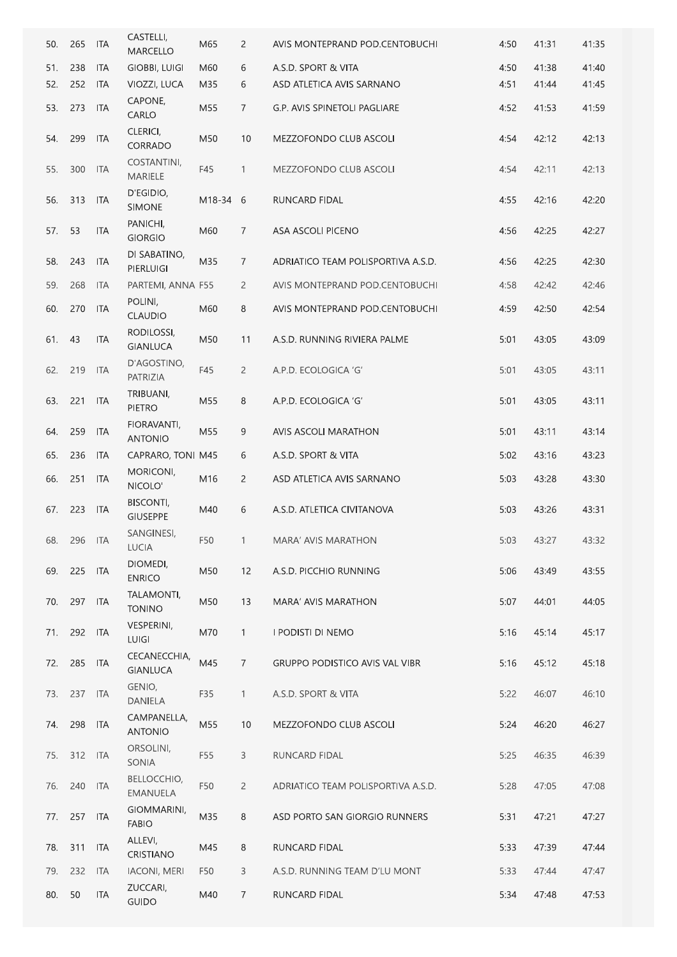| 50. | 265 | <b>ITA</b> | CASTELLI,<br><b>MARCELLO</b>        | M65      | 2              | AVIS MONTEPRAND POD.CENTOBUCHI        | 4:50 | 41:31 | 41:35 |
|-----|-----|------------|-------------------------------------|----------|----------------|---------------------------------------|------|-------|-------|
| 51. | 238 | <b>ITA</b> | <b>GIOBBI, LUIGI</b>                | M60      | 6              | A.S.D. SPORT & VITA                   | 4:50 | 41:38 | 41:40 |
| 52. | 252 | <b>ITA</b> | VIOZZI, LUCA                        | M35      | 6              | ASD ATLETICA AVIS SARNANO             | 4:51 | 41:44 | 41:45 |
| 53. | 273 | <b>ITA</b> | CAPONE,<br>CARLO                    | M55      | $\overline{7}$ | G.P. AVIS SPINETOLI PAGLIARE          | 4:52 | 41:53 | 41:59 |
| 54. | 299 | <b>ITA</b> | CLERICI,<br>CORRADO                 | M50      | 10             | MEZZOFONDO CLUB ASCOLI                | 4:54 | 42:12 | 42:13 |
| 55. | 300 | <b>ITA</b> | COSTANTINI,<br>MARIELE              | F45      | 1              | MEZZOFONDO CLUB ASCOLI                | 4:54 | 42:11 | 42:13 |
| 56. | 313 | ITA        | D'EGIDIO,<br><b>SIMONE</b>          | M18-34 6 |                | RUNCARD FIDAL                         | 4:55 | 42:16 | 42:20 |
| 57. | 53  | <b>ITA</b> | PANICHI,<br><b>GIORGIO</b>          | M60      | 7              | ASA ASCOLI PICENO                     | 4:56 | 42:25 | 42:27 |
| 58. | 243 | ITA        | DI SABATINO,<br><b>PIERLUIGI</b>    | M35      | 7              | ADRIATICO TEAM POLISPORTIVA A.S.D.    | 4:56 | 42:25 | 42:30 |
| 59. | 268 | <b>ITA</b> | PARTEMI, ANNA F55                   |          | $\overline{2}$ | AVIS MONTEPRAND POD.CENTOBUCHI        | 4:58 | 42:42 | 42:46 |
| 60. | 270 | <b>ITA</b> | POLINI,<br><b>CLAUDIO</b>           | M60      | 8              | AVIS MONTEPRAND POD.CENTOBUCHI        | 4:59 | 42:50 | 42:54 |
| 61. | 43  | <b>ITA</b> | RODILOSSI,<br><b>GIANLUCA</b>       | M50      | 11             | A.S.D. RUNNING RIVIERA PALME          | 5:01 | 43:05 | 43:09 |
| 62. | 219 | ITA        | D'AGOSTINO,<br>PATRIZIA             | F45      | $\overline{c}$ | A.P.D. ECOLOGICA 'G'                  | 5:01 | 43:05 | 43:11 |
| 63. | 221 | <b>ITA</b> | TRIBUANI,<br>PIETRO                 | M55      | 8              | A.P.D. ECOLOGICA 'G'                  | 5:01 | 43:05 | 43:11 |
| 64. | 259 | ITA        | FIORAVANTI,<br><b>ANTONIO</b>       | M55      | 9              | AVIS ASCOLI MARATHON                  | 5:01 | 43:11 | 43:14 |
| 65. | 236 | <b>ITA</b> | CAPRARO, TONI M45                   |          | 6              | A.S.D. SPORT & VITA                   | 5:02 | 43:16 | 43:23 |
| 66. | 251 | <b>ITA</b> | MORICONI,<br>NICOLO'                | M16      | 2              | ASD ATLETICA AVIS SARNANO             | 5:03 | 43:28 | 43:30 |
| 67. | 223 | ITA        | <b>BISCONTI,</b><br><b>GIUSEPPE</b> | M40      | 6              | A.S.D. ATLETICA CIVITANOVA            | 5:03 | 43:26 | 43:31 |
| 68. | 296 | ITA        | SANGINESI,<br>LUCIA                 | F50      | $\mathbf{1}$   | MARA' AVIS MARATHON                   | 5:03 | 43:27 | 43:32 |
| 69. | 225 | <b>ITA</b> | DIOMEDI,<br><b>ENRICO</b>           | M50      | 12             | A.S.D. PICCHIO RUNNING                | 5:06 | 43:49 | 43:55 |
| 70. | 297 | <b>ITA</b> | TALAMONTI,<br><b>TONINO</b>         | M50      | 13             | MARA' AVIS MARATHON                   | 5:07 | 44:01 | 44:05 |
| 71. | 292 | <b>ITA</b> | <b>VESPERINI,</b><br><b>LUIGI</b>   | M70      | $\mathbf{1}$   | I PODISTI DI NEMO                     | 5:16 | 45:14 | 45:17 |
| 72. | 285 | <b>ITA</b> | CECANECCHIA,<br><b>GIANLUCA</b>     | M45      | $\overline{7}$ | <b>GRUPPO PODISTICO AVIS VAL VIBR</b> | 5:16 | 45:12 | 45:18 |
| 73. | 237 | <b>ITA</b> | GENIO,<br>DANIELA                   | F35      | $\mathbf{1}$   | A.S.D. SPORT & VITA                   | 5:22 | 46:07 | 46:10 |
| 74. | 298 | ITA        | CAMPANELLA,<br><b>ANTONIO</b>       | M55      | 10             | MEZZOFONDO CLUB ASCOLI                | 5:24 | 46:20 | 46:27 |
| 75. | 312 | ITA        | ORSOLINI,<br>SONIA                  | F55      | 3              | RUNCARD FIDAL                         | 5:25 | 46:35 | 46:39 |
| 76. | 240 | ITA        | BELLOCCHIO,<br><b>EMANUELA</b>      | F50      | $\overline{2}$ | ADRIATICO TEAM POLISPORTIVA A.S.D.    | 5:28 | 47:05 | 47:08 |
| 77. | 257 | ITA        | GIOMMARINI,<br><b>FABIO</b>         | M35      | 8              | ASD PORTO SAN GIORGIO RUNNERS         | 5:31 | 47:21 | 47:27 |
| 78. | 311 | ITA        | ALLEVI,<br>CRISTIANO                | M45      | 8              | RUNCARD FIDAL                         | 5:33 | 47:39 | 47:44 |
| 79. | 232 | <b>ITA</b> | <b>IACONI, MERI</b>                 | F50      | 3              | A.S.D. RUNNING TEAM D'LU MONT         | 5:33 | 47:44 | 47:47 |
| 80. | 50  | <b>ITA</b> | ZUCCARI,<br><b>GUIDO</b>            | M40      | $\overline{7}$ | RUNCARD FIDAL                         | 5:34 | 47:48 | 47:53 |